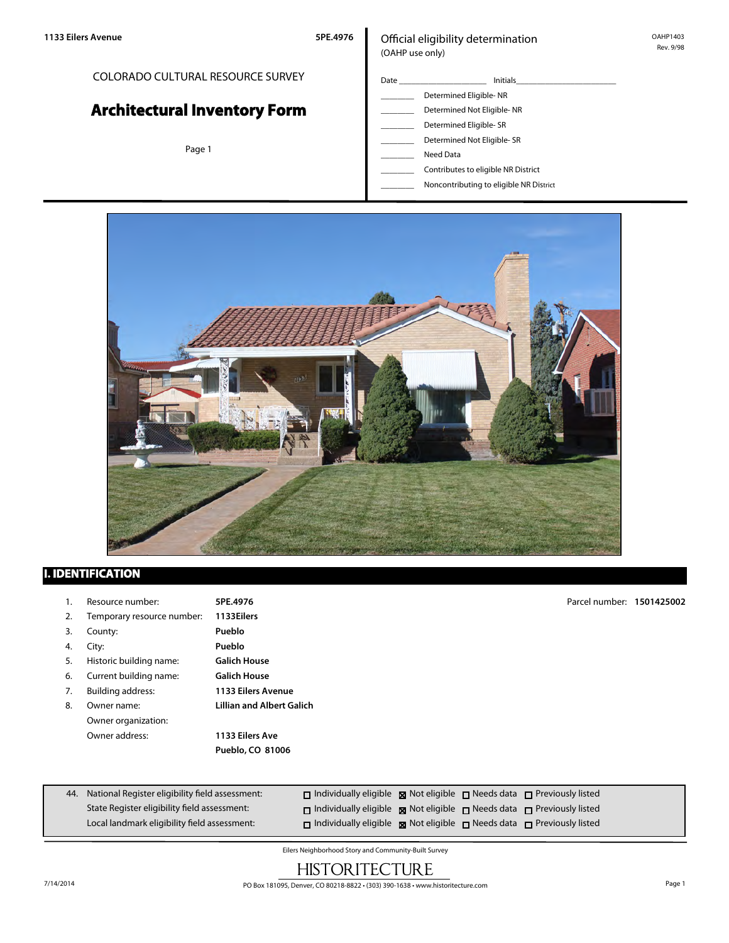# COLORADO CULTURAL RESOURCE SURVEY

# **Architectural Inventory Form**

Page 1

# Official eligibility determination (OAHP use only)

- Date \_\_\_\_\_\_\_\_\_\_\_\_\_\_\_\_\_\_\_\_\_ Initials\_\_\_\_\_\_\_\_\_\_\_\_\_\_\_\_\_\_\_\_\_\_\_\_ Determined Eligible- NR Determined Not Eligible- NR Determined Eligible- SR Determined Not Eligible- SR
	- \_\_\_\_\_\_\_\_ Need Data
	- \_\_\_\_\_\_\_\_ Contributes to eligible NR District
	- \_\_\_\_\_\_\_\_ Noncontributing to eligible NR District



# **I. IDENTIFICATION**

- 1. Resource number: **5PE.4976**
- 2. Temporary resource number: **1133Eilers**
- 3. County: **Pueblo**
- 4. City: **Pueblo**
- 5. Historic building name: **Galich House**
- 6. Current building name: **Galich House**
- 
- Owner organization: Owner address: **1133 Eilers Ave**
- 7. Building address: **1133 Eilers Avenue** 8. Owner name: **Lillian and Albert Galich**

**Pueblo, CO 81006**

Parcel number: **1501425002**

| 44. National Register eligibility field assessment: | $\Box$ Individually eligible $\boxtimes$ Not eligible $\Box$ Needs data $\Box$ Previously listed |  |  |
|-----------------------------------------------------|--------------------------------------------------------------------------------------------------|--|--|
| State Register eligibility field assessment:        | $\Box$ Individually eligible $\boxtimes$ Not eligible $\Box$ Needs data $\Box$ Previously listed |  |  |
| Local landmark eligibility field assessment:        | $\Box$ Individually eligible $\Box$ Not eligible $\Box$ Needs data $\Box$ Previously listed      |  |  |

Eilers Neighborhood Story and Community-Built Survey

# **HISTORITECTURE**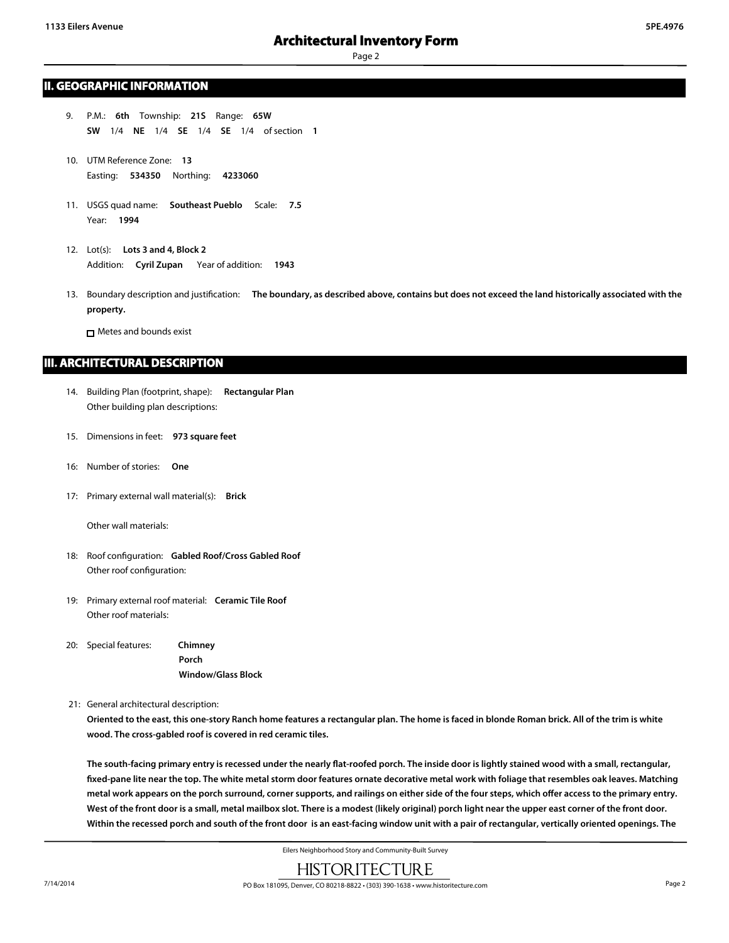# **II. GEOGRAPHIC INFORMATION**

- 9. P.M.: **6th** Township: **21S** Range: **65W SW** 1/4 **NE** 1/4 **SE** 1/4 **SE** 1/4 of section **1**
- 10. UTM Reference Zone: **13** Easting: **534350** Northing: **4233060**
- 11. USGS quad name: **Southeast Pueblo** Scale: **7.5** Year: **1994**
- 12. Lot(s): **Lots 3 and 4, Block 2** Addition: **Cyril Zupan** Year of addition: **1943**
- 13. Boundary description and justification: **The boundary, as described above, contains but does not exceed the land historically associated with the property.**

Metes and bounds exist

# **III. ARCHITECTURAL DESCRIPTION**

- 14. Building Plan (footprint, shape): **Rectangular Plan** Other building plan descriptions:
- 15. Dimensions in feet: **973 square feet**
- 16: Number of stories: **One**
- 17: Primary external wall material(s): **Brick**

Other wall materials:

- 18: Roof configuration: **Gabled Roof/Cross Gabled Roof** Other roof configuration:
- 19: Primary external roof material: **Ceramic Tile Roof** Other roof materials:
- 20: Special features: **Chimney Porch Window/Glass Block**
- 21: General architectural description:

**Oriented to the east, this one-story Ranch home features a rectangular plan. The home is faced in blonde Roman brick. All of the trim is white wood. The cross-gabled roof is covered in red ceramic tiles.**

**The south-facing primary entry is recessed under the nearly flat-roofed porch. The inside door is lightly stained wood with a small, rectangular, fixed-pane lite near the top. The white metal storm door features ornate decorative metal work with foliage that resembles oak leaves. Matching metal work appears on the porch surround, corner supports, and railings on either side of the four steps, which offer access to the primary entry. West of the front door is a small, metal mailbox slot. There is a modest (likely original) porch light near the upper east corner of the front door. Within the recessed porch and south of the front door is an east-facing window unit with a pair of rectangular, vertically oriented openings. The**

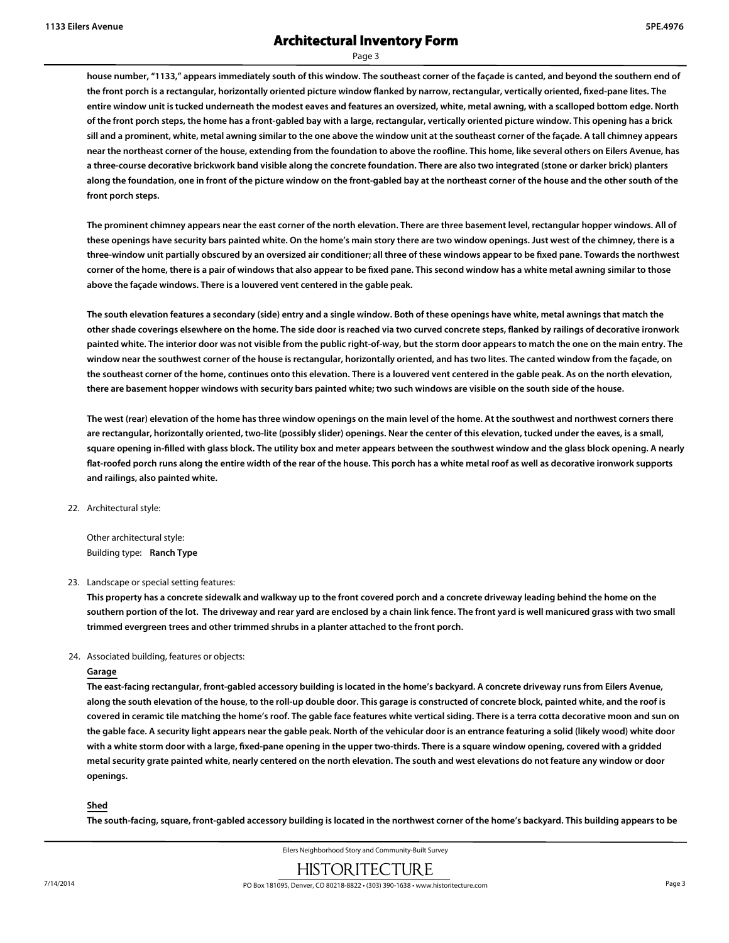# **Architectural Inventory Form**

Page 3

**house number, "1133," appears immediately south of this window. The southeast corner of the façade is canted, and beyond the southern end of the front porch is a rectangular, horizontally oriented picture window flanked by narrow, rectangular, vertically oriented, fixed-pane lites. The entire window unit is tucked underneath the modest eaves and features an oversized, white, metal awning, with a scalloped bottom edge. North of the front porch steps, the home has a front-gabled bay with a large, rectangular, vertically oriented picture window. This opening has a brick sill and a prominent, white, metal awning similar to the one above the window unit at the southeast corner of the façade. A tall chimney appears near the northeast corner of the house, extending from the foundation to above the roofline. This home, like several others on Eilers Avenue, has a three-course decorative brickwork band visible along the concrete foundation. There are also two integrated (stone or darker brick) planters along the foundation, one in front of the picture window on the front-gabled bay at the northeast corner of the house and the other south of the front porch steps.**

**The prominent chimney appears near the east corner of the north elevation. There are three basement level, rectangular hopper windows. All of these openings have security bars painted white. On the home's main story there are two window openings. Just west of the chimney, there is a three-window unit partially obscured by an oversized air conditioner; all three of these windows appear to be fixed pane. Towards the northwest corner of the home, there is a pair of windows that also appear to be fixed pane. This second window has a white metal awning similar to those above the façade windows. There is a louvered vent centered in the gable peak.**

**The south elevation features a secondary (side) entry and a single window. Both of these openings have white, metal awnings that match the other shade coverings elsewhere on the home. The side door is reached via two curved concrete steps, flanked by railings of decorative ironwork painted white. The interior door was not visible from the public right-of-way, but the storm door appears to match the one on the main entry. The window near the southwest corner of the house is rectangular, horizontally oriented, and has two lites. The canted window from the façade, on the southeast corner of the home, continues onto this elevation. There is a louvered vent centered in the gable peak. As on the north elevation, there are basement hopper windows with security bars painted white; two such windows are visible on the south side of the house.**

**The west (rear) elevation of the home has three window openings on the main level of the home. At the southwest and northwest corners there are rectangular, horizontally oriented, two-lite (possibly slider) openings. Near the center of this elevation, tucked under the eaves, is a small, square opening in-filled with glass block. The utility box and meter appears between the southwest window and the glass block opening. A nearly flat-roofed porch runs along the entire width of the rear of the house. This porch has a white metal roof as well as decorative ironwork supports and railings, also painted white.**

22. Architectural style:

Other architectural style: Building type: **Ranch Type**

23. Landscape or special setting features:

**This property has a concrete sidewalk and walkway up to the front covered porch and a concrete driveway leading behind the home on the southern portion of the lot. The driveway and rear yard are enclosed by a chain link fence. The front yard is well manicured grass with two small trimmed evergreen trees and other trimmed shrubs in a planter attached to the front porch.**

### 24. Associated building, features or objects:

#### **Garage**

**The east-facing rectangular, front-gabled accessory building is located in the home's backyard. A concrete driveway runs from Eilers Avenue, along the south elevation of the house, to the roll-up double door. This garage is constructed of concrete block, painted white, and the roof is covered in ceramic tile matching the home's roof. The gable face features white vertical siding. There is a terra cotta decorative moon and sun on the gable face. A security light appears near the gable peak. North of the vehicular door is an entrance featuring a solid (likely wood) white door with a white storm door with a large, fixed-pane opening in the upper two-thirds. There is a square window opening, covered with a gridded metal security grate painted white, nearly centered on the north elevation. The south and west elevations do not feature any window or door openings.**

### **Shed**

**The south-facing, square, front-gabled accessory building is located in the northwest corner of the home's backyard. This building appears to be**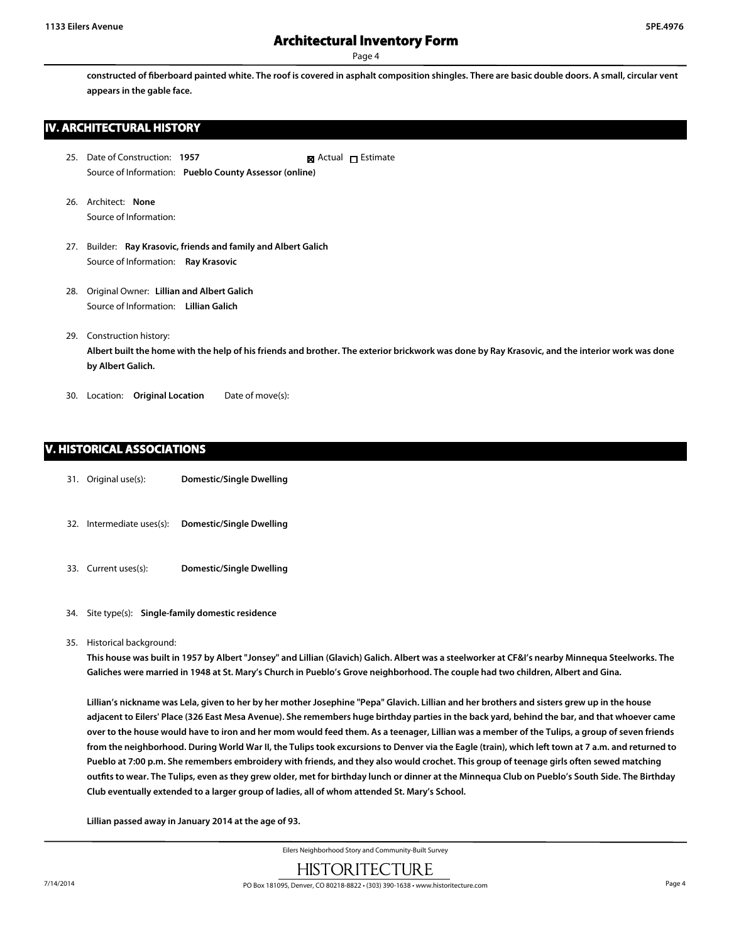**constructed of fiberboard painted white. The roof is covered in asphalt composition shingles. There are basic double doors. A small, circular vent appears in the gable face.**

# **IV. ARCHITECTURAL HISTORY**

- 25. Date of Construction: **1957** Source of Information: **Pueblo County Assessor (online)** ■ Actual □ Estimate
- 26. Architect: **None** Source of Information:
- 27. Builder: **Ray Krasovic, friends and family and Albert Galich** Source of Information: **Ray Krasovic**
- 28. Original Owner: **Lillian and Albert Galich** Source of Information: **Lillian Galich**
- 29. Construction history:

**Albert built the home with the help of his friends and brother. The exterior brickwork was done by Ray Krasovic, and the interior work was done by Albert Galich.**

30. Location: **Original Location** Date of move(s):

# **V. HISTORICAL ASSOCIATIONS**

- 31. Original use(s): **Domestic/Single Dwelling**
- 32. Intermediate uses(s): **Domestic/Single Dwelling**
- 33. Current uses(s): **Domestic/Single Dwelling**
- 34. Site type(s): **Single-family domestic residence**
- 35. Historical background:

**This house was built in 1957 by Albert "Jonsey" and Lillian (Glavich) Galich. Albert was a steelworker at CF&I's nearby Minnequa Steelworks. The Galiches were married in 1948 at St. Mary's Church in Pueblo's Grove neighborhood. The couple had two children, Albert and Gina.**

**Lillian's nickname was Lela, given to her by her mother Josephine "Pepa" Glavich. Lillian and her brothers and sisters grew up in the house adjacent to Eilers' Place (326 East Mesa Avenue). She remembers huge birthday parties in the back yard, behind the bar, and that whoever came over to the house would have to iron and her mom would feed them. As a teenager, Lillian was a member of the Tulips, a group of seven friends from the neighborhood. During World War II, the Tulips took excursions to Denver via the Eagle (train), which left town at 7 a.m. and returned to Pueblo at 7:00 p.m. She remembers embroidery with friends, and they also would crochet. This group of teenage girls often sewed matching outfits to wear. The Tulips, even as they grew older, met for birthday lunch or dinner at the Minnequa Club on Pueblo's South Side. The Birthday Club eventually extended to a larger group of ladies, all of whom attended St. Mary's School.**

**Lillian passed away in January 2014 at the age of 93.**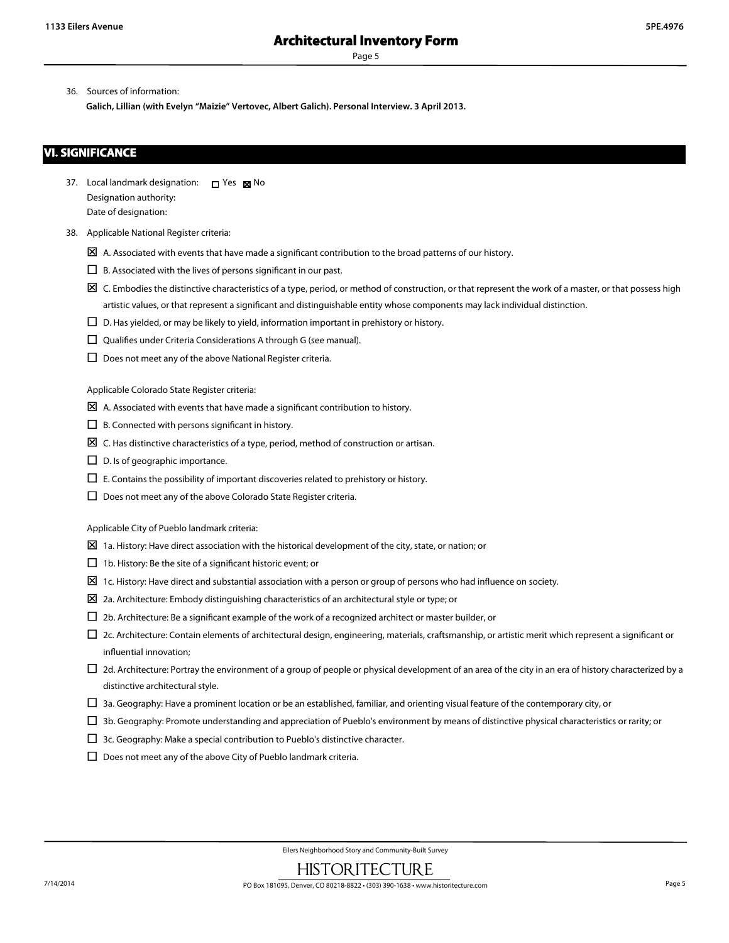36. Sources of information:

**Galich, Lillian (with Evelyn "Maizie" Vertovec, Albert Galich). Personal Interview. 3 April 2013.**

# **VI. SIGNIFICANCE**

- 37. Local landmark designation:  $\Box$  Yes  $\boxtimes$  No Designation authority: Date of designation:
- 38. Applicable National Register criteria:
	- $\boxtimes$  A. Associated with events that have made a significant contribution to the broad patterns of our history.
	- $\square$  B. Associated with the lives of persons significant in our past.
	- $\boxtimes$  C. Embodies the distinctive characteristics of a type, period, or method of construction, or that represent the work of a master, or that possess high artistic values, or that represent a significant and distinguishable entity whose components may lack individual distinction.
	- $\square$  D. Has yielded, or may be likely to yield, information important in prehistory or history.
	- $\square$  Qualifies under Criteria Considerations A through G (see manual).
	- $\square$  Does not meet any of the above National Register criteria.

Applicable Colorado State Register criteria:

- $\boxtimes$  A. Associated with events that have made a significant contribution to history.
- $\square$  B. Connected with persons significant in history.
- $\boxtimes$  C. Has distinctive characteristics of a type, period, method of construction or artisan.
- $\square$  D. Is of geographic importance.
- $\Box$  E. Contains the possibility of important discoveries related to prehistory or history.
- $\square$  Does not meet any of the above Colorado State Register criteria.

Applicable City of Pueblo landmark criteria:

- $\boxtimes$  1a. History: Have direct association with the historical development of the city, state, or nation; or
- $\Box$  1b. History: Be the site of a significant historic event; or
- $\boxtimes$  1c. History: Have direct and substantial association with a person or group of persons who had influence on society.
- $\Sigma$  2a. Architecture: Embody distinguishing characteristics of an architectural style or type; or
- $\Box$  2b. Architecture: Be a significant example of the work of a recognized architect or master builder, or
- $\Box$  2c. Architecture: Contain elements of architectural design, engineering, materials, craftsmanship, or artistic merit which represent a significant or influential innovation;
- $\Box$  2d. Architecture: Portray the environment of a group of people or physical development of an area of the city in an era of history characterized by a distinctive architectural style.
- $\square$  3a. Geography: Have a prominent location or be an established, familiar, and orienting visual feature of the contemporary city, or
- □ 3b. Geography: Promote understanding and appreciation of Pueblo's environment by means of distinctive physical characteristics or rarity; or
- $\square$  3c. Geography: Make a special contribution to Pueblo's distinctive character.
- $\square$  Does not meet any of the above City of Pueblo landmark criteria.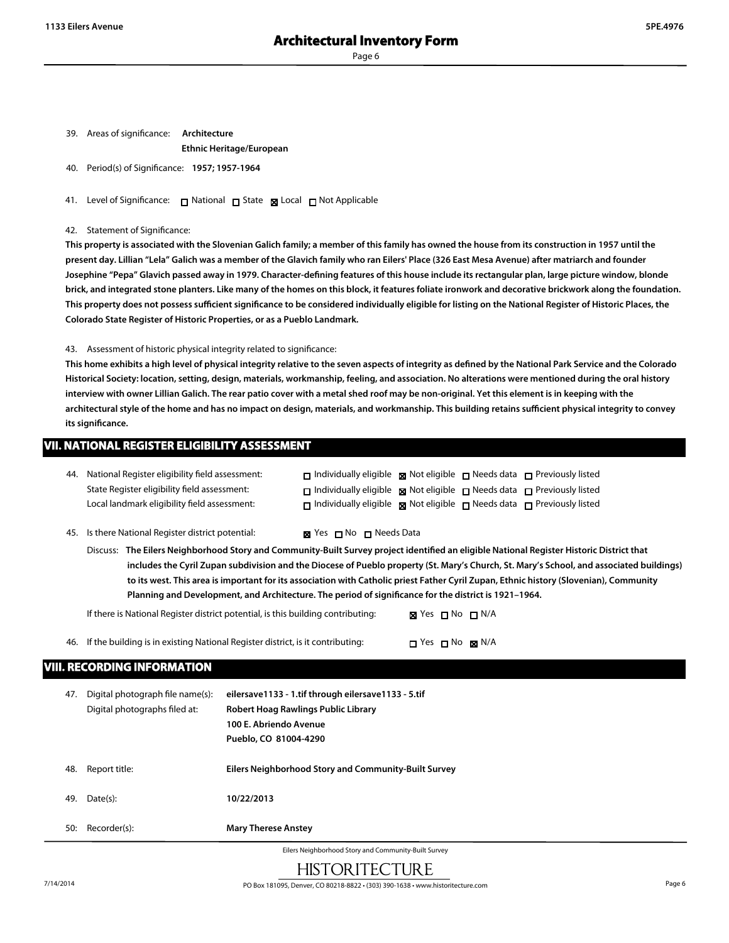39. Areas of significance: **Architecture**

**Ethnic Heritage/European**

- 40. Period(s) of Significance: **1957; 1957-1964**
- 41. Level of Significance: □ National □ State Local □ Not Applicable
- 42. Statement of Significance:

**This property is associated with the Slovenian Galich family; a member of this family has owned the house from its construction in 1957 until the present day. Lillian "Lela" Galich was a member of the Glavich family who ran Eilers' Place (326 East Mesa Avenue) after matriarch and founder Josephine "Pepa" Glavich passed away in 1979. Character-defining features of this house include its rectangular plan, large picture window, blonde brick, and integrated stone planters. Like many of the homes on this block, it features foliate ironwork and decorative brickwork along the foundation. This property does not possess sufficient significance to be considered individually eligible for listing on the National Register of Historic Places, the Colorado State Register of Historic Properties, or as a Pueblo Landmark.**

43. Assessment of historic physical integrity related to significance:

**This home exhibits a high level of physical integrity relative to the seven aspects of integrity as defined by the National Park Service and the Colorado Historical Society: location, setting, design, materials, workmanship, feeling, and association. No alterations were mentioned during the oral history interview with owner Lillian Galich. The rear patio cover with a metal shed roof may be non-original. Yet this element is in keeping with the architectural style of the home and has no impact on design, materials, and workmanship. This building retains sufficient physical integrity to convey its significance.**

| <b>VII. NATIONAL REGISTER ELIGIBILITY ASSESSMENT</b> |                                                                                                                                                                                                                                                                                                                                                                                 |                                                                                                                                                                                                                                                                                                     |  |  |
|------------------------------------------------------|---------------------------------------------------------------------------------------------------------------------------------------------------------------------------------------------------------------------------------------------------------------------------------------------------------------------------------------------------------------------------------|-----------------------------------------------------------------------------------------------------------------------------------------------------------------------------------------------------------------------------------------------------------------------------------------------------|--|--|
|                                                      | 44. National Register eligibility field assessment:<br>State Register eligibility field assessment:<br>Local landmark eligibility field assessment:                                                                                                                                                                                                                             | $\Box$ Individually eligible $\boxtimes$ Not eligible $\Box$ Needs data $\Box$ Previously listed<br>$\Box$ Individually eligible $\boxtimes$ Not eligible $\Box$ Needs data $\Box$ Previously listed<br>$\Box$ Individually eligible $\Box$ Not eligible $\Box$ Needs data $\Box$ Previously listed |  |  |
|                                                      | 45. Is there National Register district potential:                                                                                                                                                                                                                                                                                                                              | <b>Ex</b> Yes $\blacksquare$ No $\blacksquare$ Needs Data                                                                                                                                                                                                                                           |  |  |
|                                                      | Discuss: The Eilers Neighborhood Story and Community-Built Survey project identified an eligible National Register Historic District that<br>$\mathcal{L}$ . The contract of the contract of the contract of the contract of the contract of the contract of the contract of the contract of the contract of the contract of the contract of the contract of the contract of th |                                                                                                                                                                                                                                                                                                     |  |  |

**includes the Cyril Zupan subdivision and the Diocese of Pueblo property (St. Mary's Church, St. Mary's School, and associated buildings) to its west. This area is important for its association with Catholic priest Father Cyril Zupan, Ethnic history (Slovenian), Community Planning and Development, and Architecture. The period of significance for the district is 1921–1964.**

| If there is National Register district potential, is this building contributing: | <b>⊠</b> Yes $\sqcap$ No $\sqcap$ N/A |
|----------------------------------------------------------------------------------|---------------------------------------|
|                                                                                  |                                       |

46. If the building is in existing National Register district, is it contributing:  $\Box$  Yes  $\Box$  No  $\boxtimes$  N/A

# **VIII. RECORDING INFORMATION**

| 47.                                                  | Digital photograph file name(s):<br>Digital photographs filed at: | eilersave1133 - 1.tif through eilersave1133 - 5.tif<br>Robert Hoag Rawlings Public Library<br>100 E. Abriendo Avenue<br>Pueblo, CO 81004-4290 |  |
|------------------------------------------------------|-------------------------------------------------------------------|-----------------------------------------------------------------------------------------------------------------------------------------------|--|
| 48.                                                  | Report title:                                                     | Eilers Neighborhood Story and Community-Built Survey                                                                                          |  |
| 49.                                                  | Date(s):                                                          | 10/22/2013                                                                                                                                    |  |
| 50:                                                  | Recorder(s):                                                      | <b>Mary Therese Anstey</b>                                                                                                                    |  |
| Eilers Neighborhood Story and Community-Built Survey |                                                                   |                                                                                                                                               |  |

HISTORITECTURE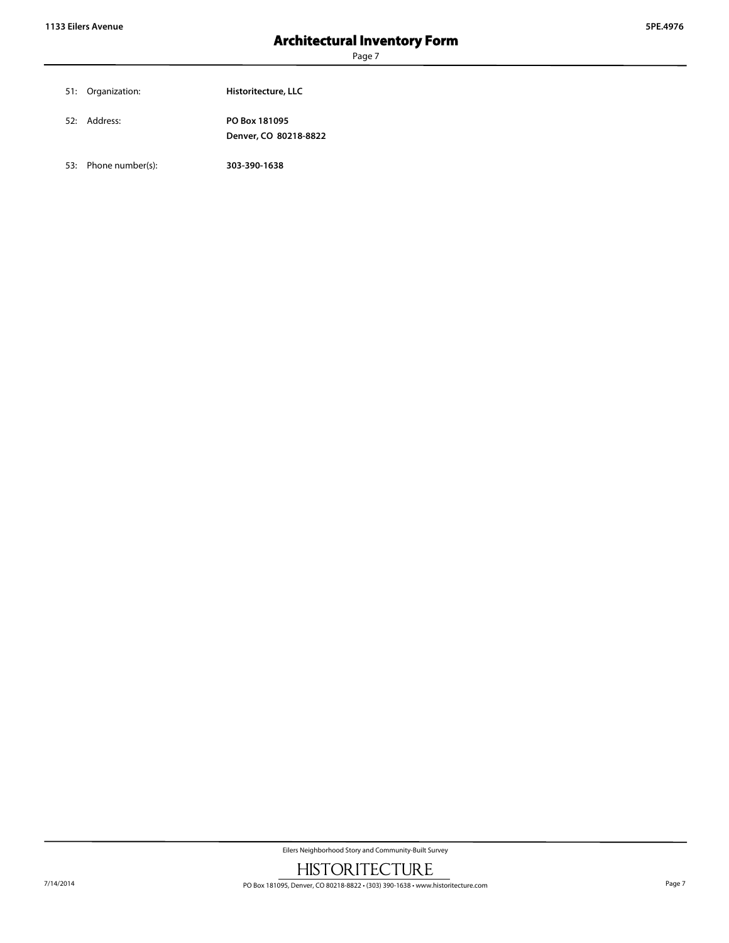| 51: Organization: | Historitecture, LLC                    |
|-------------------|----------------------------------------|
| 52: Address:      | PO Box 181095<br>Denver, CO 80218-8822 |

53: Phone number(s): **303-390-1638**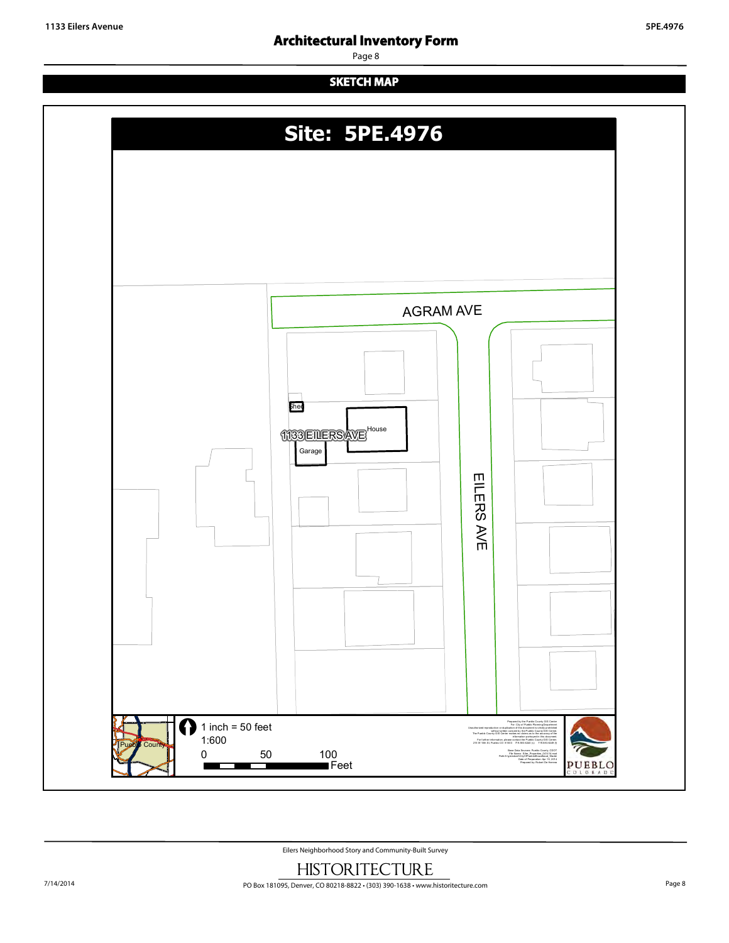# **Architectural Inventory Form**

Page 8

# **SKETCH MAP**